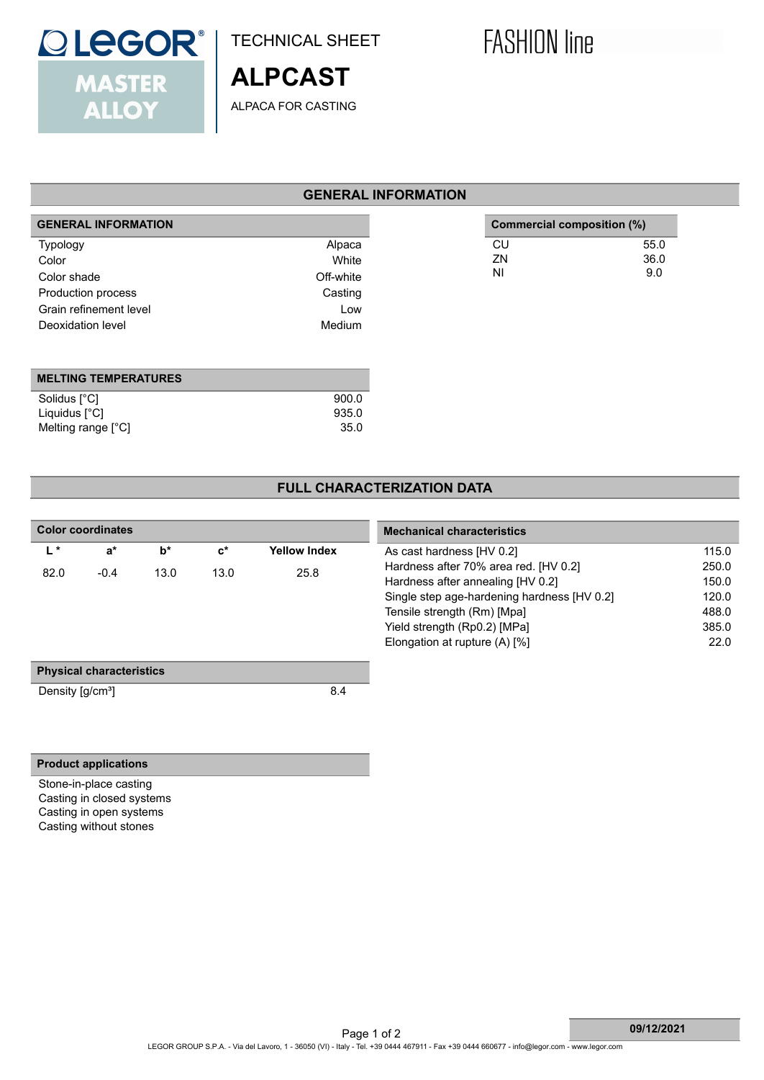

Liquidus [°C] 935.0<br>Melting range [°C] 935.0

TECHNICAL SHEET

ALPACA FOR CASTING

**ALPCAST**

# **FASHION line**

## **GENERAL INFORMATION**

| <b>GENERAL INFORMATION</b>  |           | Commercial composition (%) |
|-----------------------------|-----------|----------------------------|
| <b>Typology</b>             | Alpaca    | CU                         |
| Color                       | White     | ZN                         |
| Color shade                 | Off-white | <b>NI</b>                  |
| Production process          | Casting   |                            |
| Grain refinement level      | Low       |                            |
| Deoxidation level           | Medium    |                            |
|                             |           |                            |
|                             |           |                            |
| <b>MELTING TEMPERATURES</b> |           |                            |
| Solidus [°C]                | 900.0     |                            |
| Liquidus [°C]               | 935.0     |                            |

### **FULL CHARACTERIZATION DATA**

| <b>Color coordinates</b>              |                                 |       |                |                     | <b>Mechanical characteristics</b>           |
|---------------------------------------|---------------------------------|-------|----------------|---------------------|---------------------------------------------|
| $L^*$                                 | $a^*$                           | $b^*$ | $\mathbf{c}^*$ | <b>Yellow Index</b> | As cast hardness [HV 0.2]                   |
| 82.0                                  | $-0.4$                          | 13.0  | 13.0           | 25.8                | Hardness after 70% area red. [HV 0.2]       |
|                                       |                                 |       |                |                     | Hardness after annealing [HV 0.2]           |
|                                       |                                 |       |                |                     | Single step age-hardening hardness [HV 0.2] |
|                                       |                                 |       |                |                     | Tensile strength (Rm) [Mpa]                 |
|                                       |                                 |       |                |                     | Yield strength (Rp0.2) [MPa]                |
|                                       |                                 |       |                |                     | Elongation at rupture (A) [%]               |
|                                       | <b>Physical characteristics</b> |       |                |                     |                                             |
| Density $\left[\frac{g}{cm^3}\right]$ |                                 |       |                | 8.4                 |                                             |
|                                       |                                 |       |                |                     |                                             |
|                                       |                                 |       |                |                     |                                             |
|                                       |                                 |       |                |                     |                                             |
|                                       | <b>Product applications</b>     |       |                |                     |                                             |

Stone-in-place casting Casting in closed systems Casting in open systems Casting without stones

Melting range [°C]